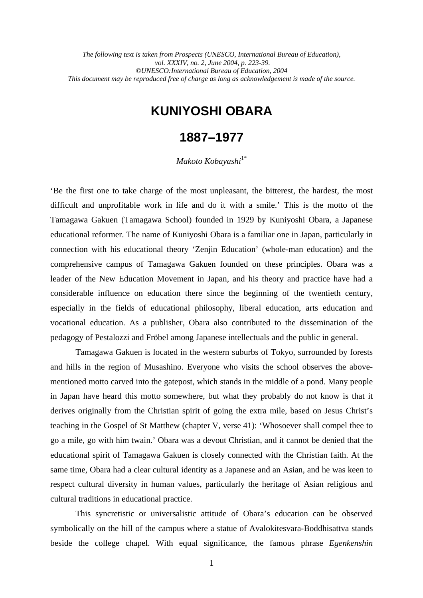*The following text is taken from Prospects (UNESCO, International Bureau of Education), vol. XXXIV, no. 2, June 2004, p. 223-39. ©UNESCO:International Bureau of Education, 2004 This document may be reproduced free of charge as long as acknowledgement is made of the source.* 

# **KUNIYOSHI OBARA**

## **1887–1977**

## *Makoto Kobayashi*1\*

'Be the first one to take charge of the most unpleasant, the bitterest, the hardest, the most difficult and unprofitable work in life and do it with a smile.' This is the motto of the Tamagawa Gakuen (Tamagawa School) founded in 1929 by Kuniyoshi Obara, a Japanese educational reformer. The name of Kuniyoshi Obara is a familiar one in Japan, particularly in connection with his educational theory 'Zenjin Education' (whole-man education) and the comprehensive campus of Tamagawa Gakuen founded on these principles. Obara was a leader of the New Education Movement in Japan, and his theory and practice have had a considerable influence on education there since the beginning of the twentieth century, especially in the fields of educational philosophy, liberal education, arts education and vocational education. As a publisher, Obara also contributed to the dissemination of the pedagogy of Pestalozzi and Fröbel among Japanese intellectuals and the public in general.

Tamagawa Gakuen is located in the western suburbs of Tokyo, surrounded by forests and hills in the region of Musashino. Everyone who visits the school observes the abovementioned motto carved into the gatepost, which stands in the middle of a pond. Many people in Japan have heard this motto somewhere, but what they probably do not know is that it derives originally from the Christian spirit of going the extra mile, based on Jesus Christ's teaching in the Gospel of St Matthew (chapter V, verse 41): 'Whosoever shall compel thee to go a mile, go with him twain.' Obara was a devout Christian, and it cannot be denied that the educational spirit of Tamagawa Gakuen is closely connected with the Christian faith. At the same time, Obara had a clear cultural identity as a Japanese and an Asian, and he was keen to respect cultural diversity in human values, particularly the heritage of Asian religious and cultural traditions in educational practice.

This syncretistic or universalistic attitude of Obara's education can be observed symbolically on the hill of the campus where a statue of Avalokitesvara-Boddhisattva stands beside the college chapel. With equal significance, the famous phrase *Egenkenshin*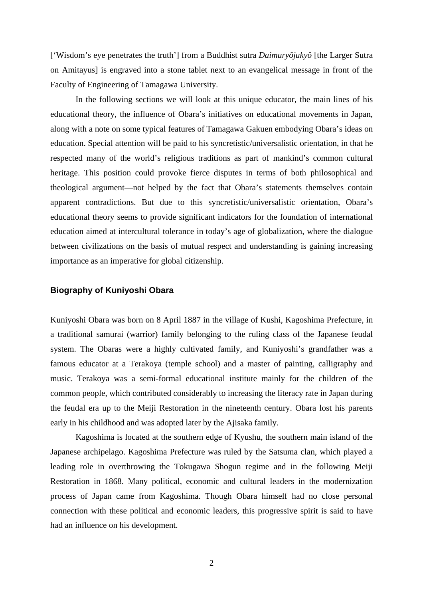['Wisdom's eye penetrates the truth'] from a Buddhist sutra *Daimuryôjukyô* [the Larger Sutra on Amitayus] is engraved into a stone tablet next to an evangelical message in front of the Faculty of Engineering of Tamagawa University.

In the following sections we will look at this unique educator, the main lines of his educational theory, the influence of Obara's initiatives on educational movements in Japan, along with a note on some typical features of Tamagawa Gakuen embodying Obara's ideas on education. Special attention will be paid to his syncretistic/universalistic orientation, in that he respected many of the world's religious traditions as part of mankind's common cultural heritage. This position could provoke fierce disputes in terms of both philosophical and theological argument—not helped by the fact that Obara's statements themselves contain apparent contradictions. But due to this syncretistic/universalistic orientation, Obara's educational theory seems to provide significant indicators for the foundation of international education aimed at intercultural tolerance in today's age of globalization, where the dialogue between civilizations on the basis of mutual respect and understanding is gaining increasing importance as an imperative for global citizenship.

## **Biography of Kuniyoshi Obara**

Kuniyoshi Obara was born on 8 April 1887 in the village of Kushi, Kagoshima Prefecture, in a traditional samurai (warrior) family belonging to the ruling class of the Japanese feudal system. The Obaras were a highly cultivated family, and Kuniyoshi's grandfather was a famous educator at a Terakoya (temple school) and a master of painting, calligraphy and music. Terakoya was a semi-formal educational institute mainly for the children of the common people, which contributed considerably to increasing the literacy rate in Japan during the feudal era up to the Meiji Restoration in the nineteenth century. Obara lost his parents early in his childhood and was adopted later by the Ajisaka family.

Kagoshima is located at the southern edge of Kyushu, the southern main island of the Japanese archipelago. Kagoshima Prefecture was ruled by the Satsuma clan, which played a leading role in overthrowing the Tokugawa Shogun regime and in the following Meiji Restoration in 1868. Many political, economic and cultural leaders in the modernization process of Japan came from Kagoshima. Though Obara himself had no close personal connection with these political and economic leaders, this progressive spirit is said to have had an influence on his development.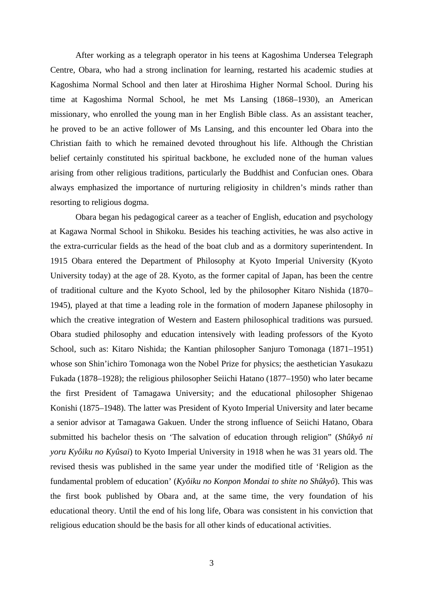After working as a telegraph operator in his teens at Kagoshima Undersea Telegraph Centre, Obara, who had a strong inclination for learning, restarted his academic studies at Kagoshima Normal School and then later at Hiroshima Higher Normal School. During his time at Kagoshima Normal School, he met Ms Lansing (1868–1930), an American missionary, who enrolled the young man in her English Bible class. As an assistant teacher, he proved to be an active follower of Ms Lansing, and this encounter led Obara into the Christian faith to which he remained devoted throughout his life. Although the Christian belief certainly constituted his spiritual backbone, he excluded none of the human values arising from other religious traditions, particularly the Buddhist and Confucian ones. Obara always emphasized the importance of nurturing religiosity in children's minds rather than resorting to religious dogma.

Obara began his pedagogical career as a teacher of English, education and psychology at Kagawa Normal School in Shikoku. Besides his teaching activities, he was also active in the extra-curricular fields as the head of the boat club and as a dormitory superintendent. In 1915 Obara entered the Department of Philosophy at Kyoto Imperial University (Kyoto University today) at the age of 28. Kyoto, as the former capital of Japan, has been the centre of traditional culture and the Kyoto School, led by the philosopher Kitaro Nishida (1870– 1945), played at that time a leading role in the formation of modern Japanese philosophy in which the creative integration of Western and Eastern philosophical traditions was pursued. Obara studied philosophy and education intensively with leading professors of the Kyoto School, such as: Kitaro Nishida; the Kantian philosopher Sanjuro Tomonaga (1871–1951) whose son Shin'ichiro Tomonaga won the Nobel Prize for physics; the aesthetician Yasukazu Fukada (1878–1928); the religious philosopher Seiichi Hatano (1877–1950) who later became the first President of Tamagawa University; and the educational philosopher Shigenao Konishi (1875–1948). The latter was President of Kyoto Imperial University and later became a senior advisor at Tamagawa Gakuen. Under the strong influence of Seiichi Hatano, Obara submitted his bachelor thesis on 'The salvation of education through religion" (*Shûkyô ni yoru Kyôiku no Kyûsai*) to Kyoto Imperial University in 1918 when he was 31 years old. The revised thesis was published in the same year under the modified title of 'Religion as the fundamental problem of education' (*Kyôiku no Konpon Mondai to shite no Shûkyô*). This was the first book published by Obara and, at the same time, the very foundation of his educational theory. Until the end of his long life, Obara was consistent in his conviction that religious education should be the basis for all other kinds of educational activities.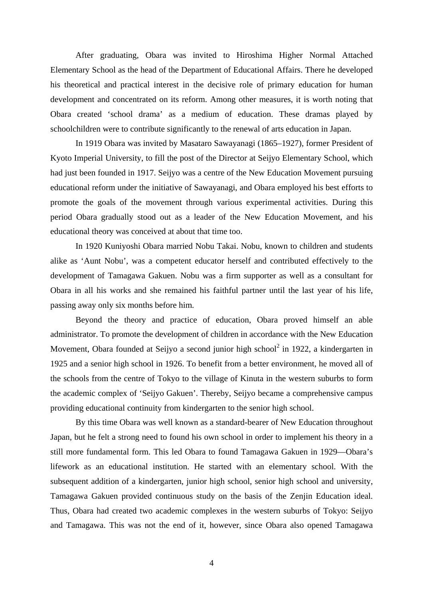After graduating, Obara was invited to Hiroshima Higher Normal Attached Elementary School as the head of the Department of Educational Affairs. There he developed his theoretical and practical interest in the decisive role of primary education for human development and concentrated on its reform. Among other measures, it is worth noting that Obara created 'school drama' as a medium of education. These dramas played by schoolchildren were to contribute significantly to the renewal of arts education in Japan.

In 1919 Obara was invited by Masataro Sawayanagi (1865–1927), former President of Kyoto Imperial University, to fill the post of the Director at Seijyo Elementary School, which had just been founded in 1917. Seijyo was a centre of the New Education Movement pursuing educational reform under the initiative of Sawayanagi, and Obara employed his best efforts to promote the goals of the movement through various experimental activities. During this period Obara gradually stood out as a leader of the New Education Movement, and his educational theory was conceived at about that time too.

In 1920 Kuniyoshi Obara married Nobu Takai. Nobu, known to children and students alike as 'Aunt Nobu', was a competent educator herself and contributed effectively to the development of Tamagawa Gakuen. Nobu was a firm supporter as well as a consultant for Obara in all his works and she remained his faithful partner until the last year of his life, passing away only six months before him.

Beyond the theory and practice of education, Obara proved himself an able administrator. To promote the development of children in accordance with the New Education Movement, Obara founded at Seijyo a second junior high school $2$  in 1922, a kindergarten in 1925 and a senior high school in 1926. To benefit from a better environment, he moved all of the schools from the centre of Tokyo to the village of Kinuta in the western suburbs to form the academic complex of 'Seijyo Gakuen'. Thereby, Seijyo became a comprehensive campus providing educational continuity from kindergarten to the senior high school.

By this time Obara was well known as a standard-bearer of New Education throughout Japan, but he felt a strong need to found his own school in order to implement his theory in a still more fundamental form. This led Obara to found Tamagawa Gakuen in 1929—Obara's lifework as an educational institution. He started with an elementary school. With the subsequent addition of a kindergarten, junior high school, senior high school and university, Tamagawa Gakuen provided continuous study on the basis of the Zenjin Education ideal. Thus, Obara had created two academic complexes in the western suburbs of Tokyo: Seijyo and Tamagawa. This was not the end of it, however, since Obara also opened Tamagawa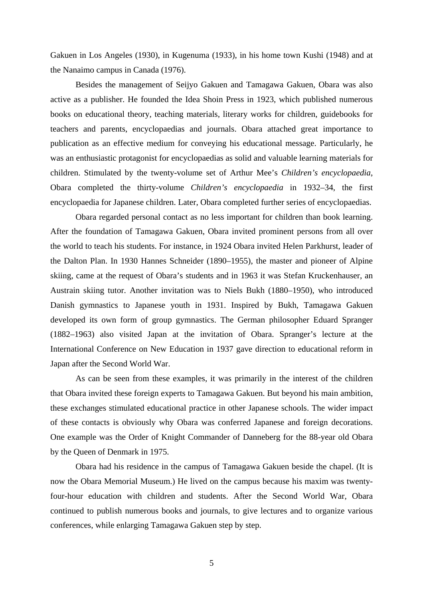Gakuen in Los Angeles (1930), in Kugenuma (1933), in his home town Kushi (1948) and at the Nanaimo campus in Canada (1976).

Besides the management of Seijyo Gakuen and Tamagawa Gakuen, Obara was also active as a publisher. He founded the Idea Shoin Press in 1923, which published numerous books on educational theory, teaching materials, literary works for children, guidebooks for teachers and parents, encyclopaedias and journals. Obara attached great importance to publication as an effective medium for conveying his educational message. Particularly, he was an enthusiastic protagonist for encyclopaedias as solid and valuable learning materials for children. Stimulated by the twenty-volume set of Arthur Mee's *Children's encyclopaedia*, Obara completed the thirty-volume *Children's encyclopaedia* in 1932–34, the first encyclopaedia for Japanese children. Later, Obara completed further series of encyclopaedias.

Obara regarded personal contact as no less important for children than book learning. After the foundation of Tamagawa Gakuen, Obara invited prominent persons from all over the world to teach his students. For instance, in 1924 Obara invited Helen Parkhurst, leader of the Dalton Plan. In 1930 Hannes Schneider (1890–1955), the master and pioneer of Alpine skiing, came at the request of Obara's students and in 1963 it was Stefan Kruckenhauser, an Austrain skiing tutor. Another invitation was to Niels Bukh (1880–1950), who introduced Danish gymnastics to Japanese youth in 1931. Inspired by Bukh, Tamagawa Gakuen developed its own form of group gymnastics. The German philosopher Eduard Spranger (1882–1963) also visited Japan at the invitation of Obara. Spranger's lecture at the International Conference on New Education in 1937 gave direction to educational reform in Japan after the Second World War.

As can be seen from these examples, it was primarily in the interest of the children that Obara invited these foreign experts to Tamagawa Gakuen. But beyond his main ambition, these exchanges stimulated educational practice in other Japanese schools. The wider impact of these contacts is obviously why Obara was conferred Japanese and foreign decorations. One example was the Order of Knight Commander of Danneberg for the 88-year old Obara by the Queen of Denmark in 1975.

Obara had his residence in the campus of Tamagawa Gakuen beside the chapel. (It is now the Obara Memorial Museum.) He lived on the campus because his maxim was twentyfour-hour education with children and students. After the Second World War, Obara continued to publish numerous books and journals, to give lectures and to organize various conferences, while enlarging Tamagawa Gakuen step by step.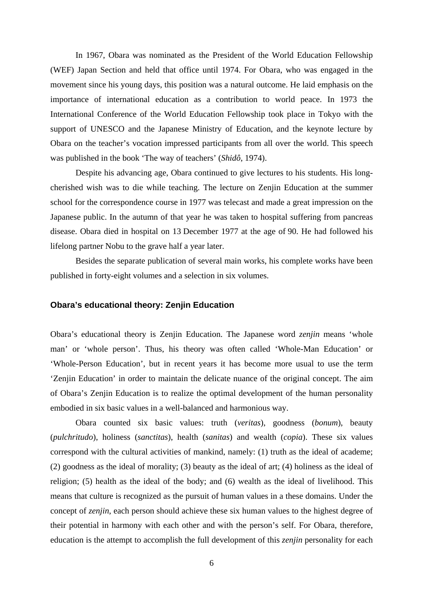In 1967, Obara was nominated as the President of the World Education Fellowship (WEF) Japan Section and held that office until 1974. For Obara, who was engaged in the movement since his young days, this position was a natural outcome. He laid emphasis on the importance of international education as a contribution to world peace. In 1973 the International Conference of the World Education Fellowship took place in Tokyo with the support of UNESCO and the Japanese Ministry of Education, and the keynote lecture by Obara on the teacher's vocation impressed participants from all over the world. This speech was published in the book 'The way of teachers' (*Shidô*, 1974).

Despite his advancing age, Obara continued to give lectures to his students. His longcherished wish was to die while teaching. The lecture on Zenjin Education at the summer school for the correspondence course in 1977 was telecast and made a great impression on the Japanese public. In the autumn of that year he was taken to hospital suffering from pancreas disease. Obara died in hospital on 13 December 1977 at the age of 90. He had followed his lifelong partner Nobu to the grave half a year later.

Besides the separate publication of several main works, his complete works have been published in forty-eight volumes and a selection in six volumes.

## **Obara's educational theory: Zenjin Education**

Obara's educational theory is Zenjin Education. The Japanese word *zenjin* means 'whole man' or 'whole person'. Thus, his theory was often called 'Whole-Man Education' or 'Whole-Person Education', but in recent years it has become more usual to use the term 'Zenjin Education' in order to maintain the delicate nuance of the original concept. The aim of Obara's Zenjin Education is to realize the optimal development of the human personality embodied in six basic values in a well-balanced and harmonious way.

Obara counted six basic values: truth (*veritas*), goodness (*bonum*), beauty (*pulchritudo*), holiness (*sanctitas*), health (*sanitas*) and wealth (*copia*). These six values correspond with the cultural activities of mankind, namely: (1) truth as the ideal of academe; (2) goodness as the ideal of morality; (3) beauty as the ideal of art; (4) holiness as the ideal of religion; (5) health as the ideal of the body; and (6) wealth as the ideal of livelihood. This means that culture is recognized as the pursuit of human values in a these domains. Under the concept of *zenjin*, each person should achieve these six human values to the highest degree of their potential in harmony with each other and with the person's self. For Obara, therefore, education is the attempt to accomplish the full development of this *zenjin* personality for each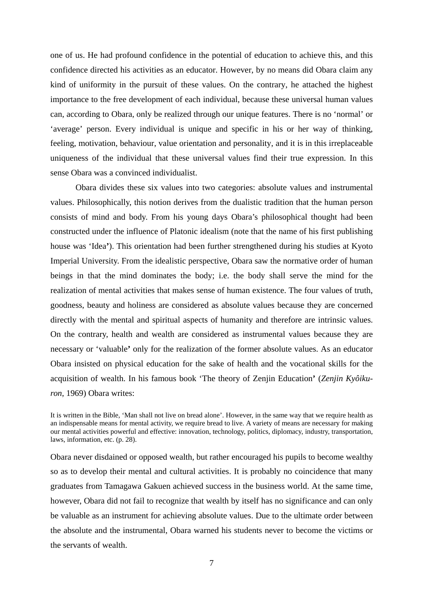one of us. He had profound confidence in the potential of education to achieve this, and this confidence directed his activities as an educator. However, by no means did Obara claim any kind of uniformity in the pursuit of these values. On the contrary, he attached the highest importance to the free development of each individual, because these universal human values can, according to Obara, only be realized through our unique features. There is no 'normal' or 'average' person. Every individual is unique and specific in his or her way of thinking, feeling, motivation, behaviour, value orientation and personality, and it is in this irreplaceable uniqueness of the individual that these universal values find their true expression. In this sense Obara was a convinced individualist.

Obara divides these six values into two categories: absolute values and instrumental values. Philosophically, this notion derives from the dualistic tradition that the human person consists of mind and body. From his young days Obara's philosophical thought had been constructed under the influence of Platonic idealism (note that the name of his first publishing house was 'Idea**'**). This orientation had been further strengthened during his studies at Kyoto Imperial University. From the idealistic perspective, Obara saw the normative order of human beings in that the mind dominates the body; i.e. the body shall serve the mind for the realization of mental activities that makes sense of human existence. The four values of truth, goodness, beauty and holiness are considered as absolute values because they are concerned directly with the mental and spiritual aspects of humanity and therefore are intrinsic values. On the contrary, health and wealth are considered as instrumental values because they are necessary or 'valuable**'** only for the realization of the former absolute values. As an educator Obara insisted on physical education for the sake of health and the vocational skills for the acquisition of wealth. In his famous book 'The theory of Zenjin Education**'** (*Zenjin Kyôikuron*, 1969) Obara writes:

It is written in the Bible, 'Man shall not live on bread alone'. However, in the same way that we require health as an indispensable means for mental activity, we require bread to live. A variety of means are necessary for making our mental activities powerful and effective: innovation, technology, politics, diplomacy, industry, transportation, laws, information, etc. (p. 28).

Obara never disdained or opposed wealth, but rather encouraged his pupils to become wealthy so as to develop their mental and cultural activities. It is probably no coincidence that many graduates from Tamagawa Gakuen achieved success in the business world. At the same time, however, Obara did not fail to recognize that wealth by itself has no significance and can only be valuable as an instrument for achieving absolute values. Due to the ultimate order between the absolute and the instrumental, Obara warned his students never to become the victims or the servants of wealth.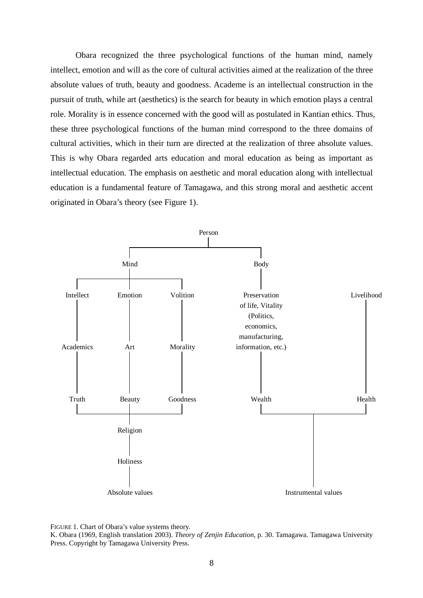Obara recognized the three psychological functions of the human mind, namely intellect, emotion and will as the core of cultural activities aimed at the realization of the three absolute values of truth, beauty and goodness. Academe is an intellectual construction in the pursuit of truth, while art (aesthetics) is the search for beauty in which emotion plays a central role. Morality is in essence concerned with the good will as postulated in Kantian ethics. Thus, these three psychological functions of the human mind correspond to the three domains of cultural activities, which in their turn are directed at the realization of three absolute values. This is why Obara regarded arts education and moral education as being as important as intellectual education. The emphasis on aesthetic and moral education along with intellectual education is a fundamental feature of Tamagawa, and this strong moral and aesthetic accent originated in Obara's theory (see Figure 1).



FIGURE 1. Chart of Obara's value systems theory.

K. Obara (1969, English translation 2003). *Theory of Zenjin Education,* p. 30. Tamagawa. Tamagawa University Press. Copyright by Tamagawa University Press.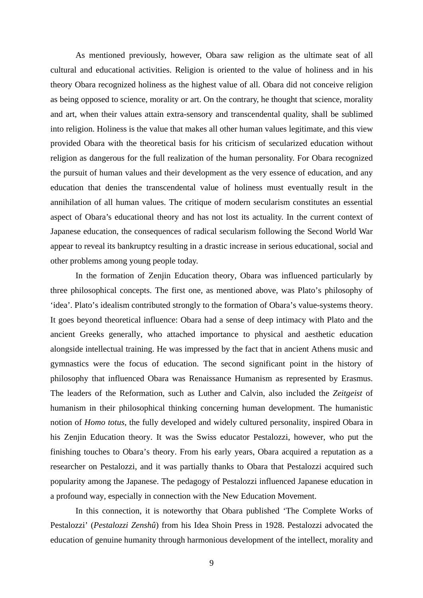As mentioned previously, however, Obara saw religion as the ultimate seat of all cultural and educational activities. Religion is oriented to the value of holiness and in his theory Obara recognized holiness as the highest value of all. Obara did not conceive religion as being opposed to science, morality or art. On the contrary, he thought that science, morality and art, when their values attain extra-sensory and transcendental quality, shall be sublimed into religion. Holiness is the value that makes all other human values legitimate, and this view provided Obara with the theoretical basis for his criticism of secularized education without religion as dangerous for the full realization of the human personality. For Obara recognized the pursuit of human values and their development as the very essence of education, and any education that denies the transcendental value of holiness must eventually result in the annihilation of all human values. The critique of modern secularism constitutes an essential aspect of Obara's educational theory and has not lost its actuality. In the current context of Japanese education, the consequences of radical secularism following the Second World War appear to reveal its bankruptcy resulting in a drastic increase in serious educational, social and other problems among young people today.

In the formation of Zenjin Education theory, Obara was influenced particularly by three philosophical concepts. The first one, as mentioned above, was Plato's philosophy of 'idea'. Plato's idealism contributed strongly to the formation of Obara's value-systems theory. It goes beyond theoretical influence: Obara had a sense of deep intimacy with Plato and the ancient Greeks generally, who attached importance to physical and aesthetic education alongside intellectual training. He was impressed by the fact that in ancient Athens music and gymnastics were the focus of education. The second significant point in the history of philosophy that influenced Obara was Renaissance Humanism as represented by Erasmus. The leaders of the Reformation, such as Luther and Calvin, also included the *Zeitgeist* of humanism in their philosophical thinking concerning human development. The humanistic notion of *Homo totus*, the fully developed and widely cultured personality, inspired Obara in his Zenjin Education theory. It was the Swiss educator Pestalozzi, however, who put the finishing touches to Obara's theory. From his early years, Obara acquired a reputation as a researcher on Pestalozzi, and it was partially thanks to Obara that Pestalozzi acquired such popularity among the Japanese. The pedagogy of Pestalozzi influenced Japanese education in a profound way, especially in connection with the New Education Movement.

In this connection, it is noteworthy that Obara published 'The Complete Works of Pestalozzi' (*Pestalozzi Zenshû*) from his Idea Shoin Press in 1928. Pestalozzi advocated the education of genuine humanity through harmonious development of the intellect, morality and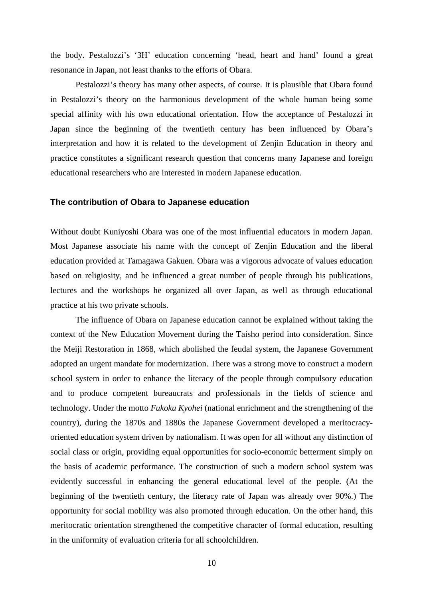the body. Pestalozzi's '3H' education concerning 'head, heart and hand' found a great resonance in Japan, not least thanks to the efforts of Obara.

Pestalozzi's theory has many other aspects, of course. It is plausible that Obara found in Pestalozzi's theory on the harmonious development of the whole human being some special affinity with his own educational orientation. How the acceptance of Pestalozzi in Japan since the beginning of the twentieth century has been influenced by Obara's interpretation and how it is related to the development of Zenjin Education in theory and practice constitutes a significant research question that concerns many Japanese and foreign educational researchers who are interested in modern Japanese education.

## **The contribution of Obara to Japanese education**

Without doubt Kuniyoshi Obara was one of the most influential educators in modern Japan. Most Japanese associate his name with the concept of Zenjin Education and the liberal education provided at Tamagawa Gakuen. Obara was a vigorous advocate of values education based on religiosity, and he influenced a great number of people through his publications, lectures and the workshops he organized all over Japan, as well as through educational practice at his two private schools.

The influence of Obara on Japanese education cannot be explained without taking the context of the New Education Movement during the Taisho period into consideration. Since the Meiji Restoration in 1868, which abolished the feudal system, the Japanese Government adopted an urgent mandate for modernization. There was a strong move to construct a modern school system in order to enhance the literacy of the people through compulsory education and to produce competent bureaucrats and professionals in the fields of science and technology. Under the motto *Fukoku Kyohei* (national enrichment and the strengthening of the country), during the 1870s and 1880s the Japanese Government developed a meritocracyoriented education system driven by nationalism. It was open for all without any distinction of social class or origin, providing equal opportunities for socio-economic betterment simply on the basis of academic performance. The construction of such a modern school system was evidently successful in enhancing the general educational level of the people. (At the beginning of the twentieth century, the literacy rate of Japan was already over 90%.) The opportunity for social mobility was also promoted through education. On the other hand, this meritocratic orientation strengthened the competitive character of formal education, resulting in the uniformity of evaluation criteria for all schoolchildren.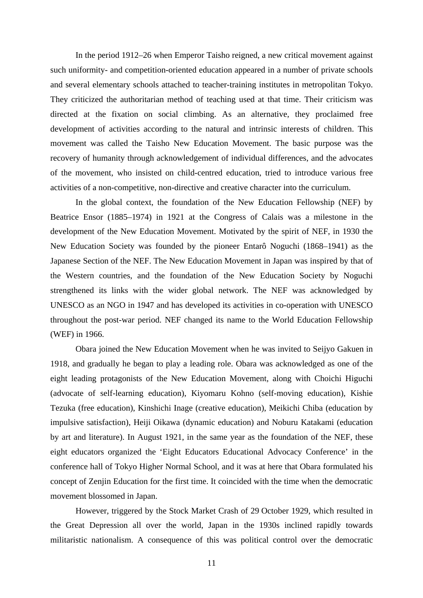In the period 1912–26 when Emperor Taisho reigned, a new critical movement against such uniformity- and competition-oriented education appeared in a number of private schools and several elementary schools attached to teacher-training institutes in metropolitan Tokyo. They criticized the authoritarian method of teaching used at that time. Their criticism was directed at the fixation on social climbing. As an alternative, they proclaimed free development of activities according to the natural and intrinsic interests of children. This movement was called the Taisho New Education Movement. The basic purpose was the recovery of humanity through acknowledgement of individual differences, and the advocates of the movement, who insisted on child-centred education, tried to introduce various free activities of a non-competitive, non-directive and creative character into the curriculum.

In the global context, the foundation of the New Education Fellowship (NEF) by Beatrice Ensor (1885–1974) in 1921 at the Congress of Calais was a milestone in the development of the New Education Movement. Motivated by the spirit of NEF, in 1930 the New Education Society was founded by the pioneer Entarô Noguchi (1868–1941) as the Japanese Section of the NEF. The New Education Movement in Japan was inspired by that of the Western countries, and the foundation of the New Education Society by Noguchi strengthened its links with the wider global network. The NEF was acknowledged by UNESCO as an NGO in 1947 and has developed its activities in co-operation with UNESCO throughout the post-war period. NEF changed its name to the World Education Fellowship (WEF) in 1966.

Obara joined the New Education Movement when he was invited to Seijyo Gakuen in 1918, and gradually he began to play a leading role. Obara was acknowledged as one of the eight leading protagonists of the New Education Movement, along with Choichi Higuchi (advocate of self-learning education), Kiyomaru Kohno (self-moving education), Kishie Tezuka (free education), Kinshichi Inage (creative education), Meikichi Chiba (education by impulsive satisfaction), Heiji Oikawa (dynamic education) and Noburu Katakami (education by art and literature). In August 1921, in the same year as the foundation of the NEF, these eight educators organized the 'Eight Educators Educational Advocacy Conference' in the conference hall of Tokyo Higher Normal School, and it was at here that Obara formulated his concept of Zenjin Education for the first time. It coincided with the time when the democratic movement blossomed in Japan.

However, triggered by the Stock Market Crash of 29 October 1929, which resulted in the Great Depression all over the world, Japan in the 1930s inclined rapidly towards militaristic nationalism. A consequence of this was political control over the democratic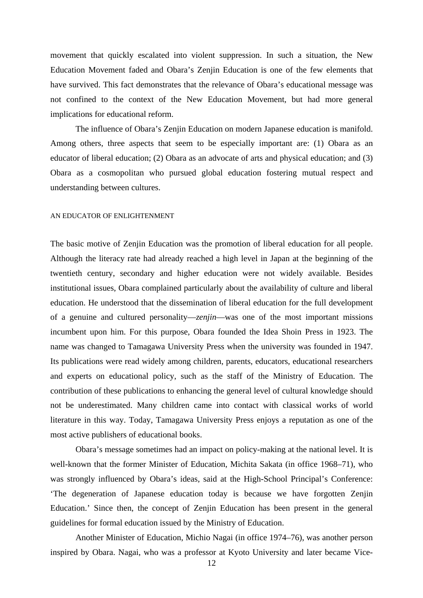movement that quickly escalated into violent suppression. In such a situation, the New Education Movement faded and Obara's Zenjin Education is one of the few elements that have survived. This fact demonstrates that the relevance of Obara's educational message was not confined to the context of the New Education Movement, but had more general implications for educational reform.

The influence of Obara's Zenjin Education on modern Japanese education is manifold. Among others, three aspects that seem to be especially important are: (1) Obara as an educator of liberal education; (2) Obara as an advocate of arts and physical education; and (3) Obara as a cosmopolitan who pursued global education fostering mutual respect and understanding between cultures.

### AN EDUCATOR OF ENLIGHTENMENT

The basic motive of Zenjin Education was the promotion of liberal education for all people. Although the literacy rate had already reached a high level in Japan at the beginning of the twentieth century, secondary and higher education were not widely available. Besides institutional issues, Obara complained particularly about the availability of culture and liberal education. He understood that the dissemination of liberal education for the full development of a genuine and cultured personality—*zenjin*—was one of the most important missions incumbent upon him. For this purpose, Obara founded the Idea Shoin Press in 1923. The name was changed to Tamagawa University Press when the university was founded in 1947. Its publications were read widely among children, parents, educators, educational researchers and experts on educational policy, such as the staff of the Ministry of Education. The contribution of these publications to enhancing the general level of cultural knowledge should not be underestimated. Many children came into contact with classical works of world literature in this way. Today, Tamagawa University Press enjoys a reputation as one of the most active publishers of educational books.

Obara's message sometimes had an impact on policy-making at the national level. It is well-known that the former Minister of Education, Michita Sakata (in office 1968–71), who was strongly influenced by Obara's ideas, said at the High-School Principal's Conference: 'The degeneration of Japanese education today is because we have forgotten Zenjin Education.' Since then, the concept of Zenjin Education has been present in the general guidelines for formal education issued by the Ministry of Education.

Another Minister of Education, Michio Nagai (in office 1974–76), was another person inspired by Obara. Nagai, who was a professor at Kyoto University and later became Vice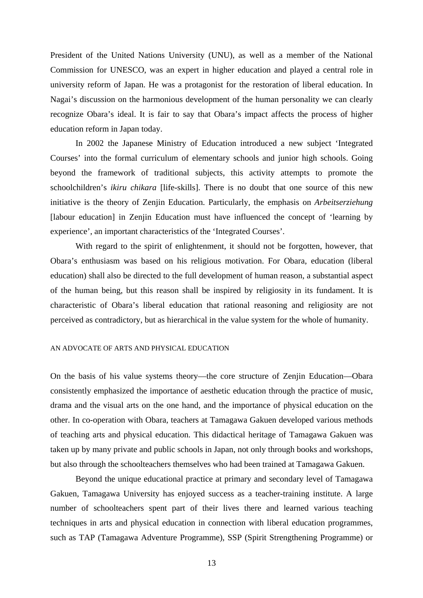President of the United Nations University (UNU), as well as a member of the National Commission for UNESCO, was an expert in higher education and played a central role in university reform of Japan. He was a protagonist for the restoration of liberal education. In Nagai's discussion on the harmonious development of the human personality we can clearly recognize Obara's ideal. It is fair to say that Obara's impact affects the process of higher education reform in Japan today.

In 2002 the Japanese Ministry of Education introduced a new subject 'Integrated Courses' into the formal curriculum of elementary schools and junior high schools. Going beyond the framework of traditional subjects, this activity attempts to promote the schoolchildren's *ikiru chikara* [life-skills]. There is no doubt that one source of this new initiative is the theory of Zenjin Education. Particularly, the emphasis on *Arbeitserziehung* [labour education] in Zenjin Education must have influenced the concept of 'learning by experience', an important characteristics of the 'Integrated Courses'.

With regard to the spirit of enlightenment, it should not be forgotten, however, that Obara's enthusiasm was based on his religious motivation. For Obara, education (liberal education) shall also be directed to the full development of human reason, a substantial aspect of the human being, but this reason shall be inspired by religiosity in its fundament. It is characteristic of Obara's liberal education that rational reasoning and religiosity are not perceived as contradictory, but as hierarchical in the value system for the whole of humanity.

## AN ADVOCATE OF ARTS AND PHYSICAL EDUCATION

On the basis of his value systems theory—the core structure of Zenjin Education—Obara consistently emphasized the importance of aesthetic education through the practice of music, drama and the visual arts on the one hand, and the importance of physical education on the other. In co-operation with Obara, teachers at Tamagawa Gakuen developed various methods of teaching arts and physical education. This didactical heritage of Tamagawa Gakuen was taken up by many private and public schools in Japan, not only through books and workshops, but also through the schoolteachers themselves who had been trained at Tamagawa Gakuen.

Beyond the unique educational practice at primary and secondary level of Tamagawa Gakuen, Tamagawa University has enjoyed success as a teacher-training institute. A large number of schoolteachers spent part of their lives there and learned various teaching techniques in arts and physical education in connection with liberal education programmes, such as TAP (Tamagawa Adventure Programme), SSP (Spirit Strengthening Programme) or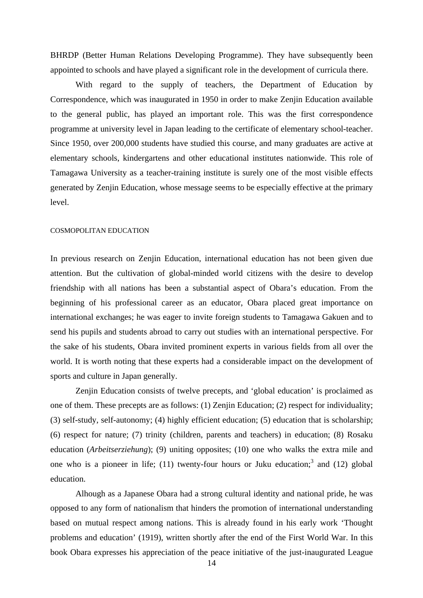BHRDP (Better Human Relations Developing Programme). They have subsequently been appointed to schools and have played a significant role in the development of curricula there.

With regard to the supply of teachers, the Department of Education by Correspondence, which was inaugurated in 1950 in order to make Zenjin Education available to the general public, has played an important role. This was the first correspondence programme at university level in Japan leading to the certificate of elementary school-teacher. Since 1950, over 200,000 students have studied this course, and many graduates are active at elementary schools, kindergartens and other educational institutes nationwide. This role of Tamagawa University as a teacher-training institute is surely one of the most visible effects generated by Zenjin Education, whose message seems to be especially effective at the primary level.

#### COSMOPOLITAN EDUCATION

In previous research on Zenjin Education, international education has not been given due attention. But the cultivation of global-minded world citizens with the desire to develop friendship with all nations has been a substantial aspect of Obara's education. From the beginning of his professional career as an educator, Obara placed great importance on international exchanges; he was eager to invite foreign students to Tamagawa Gakuen and to send his pupils and students abroad to carry out studies with an international perspective. For the sake of his students, Obara invited prominent experts in various fields from all over the world. It is worth noting that these experts had a considerable impact on the development of sports and culture in Japan generally.

Zenjin Education consists of twelve precepts, and 'global education' is proclaimed as one of them. These precepts are as follows: (1) Zenjin Education; (2) respect for individuality; (3) self-study, self-autonomy; (4) highly efficient education; (5) education that is scholarship; (6) respect for nature; (7) trinity (children, parents and teachers) in education; (8) Rosaku education (*Arbeitserziehung*); (9) uniting opposites; (10) one who walks the extra mile and one who is a pioneer in life; (11) twenty-four hours or Juku education;<sup>3</sup> and (12) global education.

Alhough as a Japanese Obara had a strong cultural identity and national pride, he was opposed to any form of nationalism that hinders the promotion of international understanding based on mutual respect among nations. This is already found in his early work 'Thought problems and education' (1919), written shortly after the end of the First World War. In this book Obara expresses his appreciation of the peace initiative of the just-inaugurated League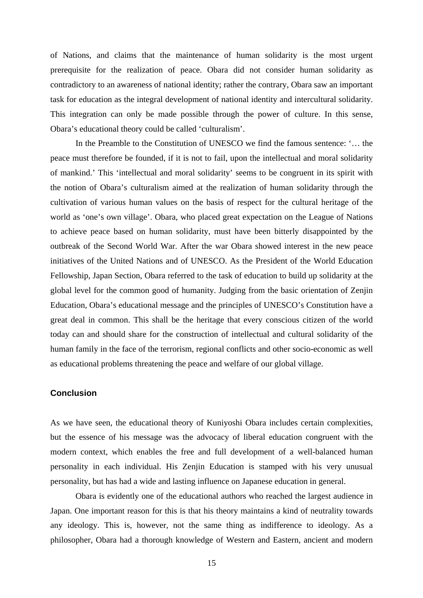of Nations, and claims that the maintenance of human solidarity is the most urgent prerequisite for the realization of peace. Obara did not consider human solidarity as contradictory to an awareness of national identity; rather the contrary, Obara saw an important task for education as the integral development of national identity and intercultural solidarity. This integration can only be made possible through the power of culture. In this sense, Obara's educational theory could be called 'culturalism'.

In the Preamble to the Constitution of UNESCO we find the famous sentence: '… the peace must therefore be founded, if it is not to fail, upon the intellectual and moral solidarity of mankind.' This 'intellectual and moral solidarity' seems to be congruent in its spirit with the notion of Obara's culturalism aimed at the realization of human solidarity through the cultivation of various human values on the basis of respect for the cultural heritage of the world as 'one's own village'. Obara, who placed great expectation on the League of Nations to achieve peace based on human solidarity, must have been bitterly disappointed by the outbreak of the Second World War. After the war Obara showed interest in the new peace initiatives of the United Nations and of UNESCO. As the President of the World Education Fellowship, Japan Section, Obara referred to the task of education to build up solidarity at the global level for the common good of humanity. Judging from the basic orientation of Zenjin Education, Obara's educational message and the principles of UNESCO's Constitution have a great deal in common. This shall be the heritage that every conscious citizen of the world today can and should share for the construction of intellectual and cultural solidarity of the human family in the face of the terrorism, regional conflicts and other socio-economic as well as educational problems threatening the peace and welfare of our global village.

## **Conclusion**

As we have seen, the educational theory of Kuniyoshi Obara includes certain complexities, but the essence of his message was the advocacy of liberal education congruent with the modern context, which enables the free and full development of a well-balanced human personality in each individual. His Zenjin Education is stamped with his very unusual personality, but has had a wide and lasting influence on Japanese education in general.

Obara is evidently one of the educational authors who reached the largest audience in Japan. One important reason for this is that his theory maintains a kind of neutrality towards any ideology. This is, however, not the same thing as indifference to ideology. As a philosopher, Obara had a thorough knowledge of Western and Eastern, ancient and modern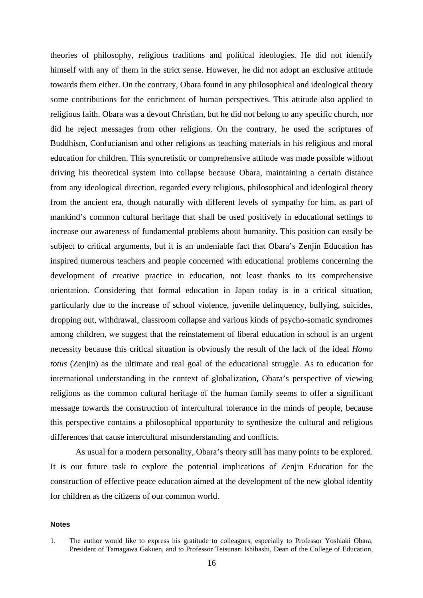theories of philosophy, religious traditions and political ideologies. He did not identify himself with any of them in the strict sense. However, he did not adopt an exclusive attitude towards them either. On the contrary, Obara found in any philosophical and ideological theory some contributions for the enrichment of human perspectives. This attitude also applied to religious faith. Obara was a devout Christian, but he did not belong to any specific church, nor did he reject messages from other religions. On the contrary, he used the scriptures of Buddhism, Confucianism and other religions as teaching materials in his religious and moral education for children. This syncretistic or comprehensive attitude was made possible without driving his theoretical system into collapse because Obara, maintaining a certain distance from any ideological direction, regarded every religious, philosophical and ideological theory from the ancient era, though naturally with different levels of sympathy for him, as part of mankind's common cultural heritage that shall be used positively in educational settings to increase our awareness of fundamental problems about humanity. This position can easily be subject to critical arguments, but it is an undeniable fact that Obara's Zenjin Education has inspired numerous teachers and people concerned with educational problems concerning the development of creative practice in education, not least thanks to its comprehensive orientation. Considering that formal education in Japan today is in a critical situation, particularly due to the increase of school violence, juvenile delinquency, bullying, suicides, dropping out, withdrawal, classroom collapse and various kinds of psycho-somatic syndromes among children, we suggest that the reinstatement of liberal education in school is an urgent necessity because this critical situation is obviously the result of the lack of the ideal *Homo totus* (Zenjin) as the ultimate and real goal of the educational struggle. As to education for international understanding in the context of globalization, Obara's perspective of viewing religions as the common cultural heritage of the human family seems to offer a significant message towards the construction of intercultural tolerance in the minds of people, because this perspective contains a philosophical opportunity to synthesize the cultural and religious differences that cause intercultural misunderstanding and conflicts.

As usual for a modern personality, Obara's theory still has many points to be explored. It is our future task to explore the potential implications of Zenjin Education for the construction of effective peace education aimed at the development of the new global identity for children as the citizens of our common world.

## **Notes**

<sup>1.</sup> The author would like to express his gratitude to colleagues, especially to Professor Yoshiaki Obara, President of Tamagawa Gakuen, and to Professor Tetsunari Ishibashi, Dean of the College of Education,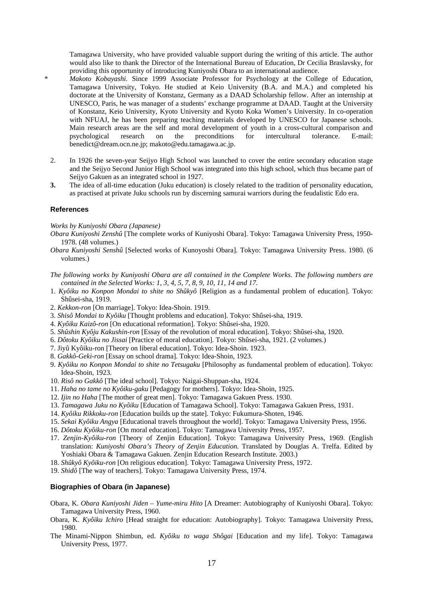Tamagawa University, who have provided valuable support during the writing of this article. The author would also like to thank the Director of the International Bureau of Education, Dr Cecilia Braslavsky, for providing this opportunity of introducing Kuniyoshi Obara to an international audience.

- \* *Makoto Kobayashi.* Since 1999 Associate Professor for Psychology at the College of Education, Tamagawa University, Tokyo. He studied at Keio University (B.A. and M.A.) and completed his doctorate at the University of Konstanz, Germany as a DAAD Scholarship fellow. After an internship at UNESCO, Paris, he was manager of a students' exchange programme at DAAD. Taught at the University of Konstanz, Keio University, Kyoto University and Kyoto Koka Women's University. In co-operation with NFUAJ, he has been preparing teaching materials developed by UNESCO for Japanese schools. Main research areas are the self and moral development of youth in a cross-cultural comparison and psychological research on the preconditions for intercultural tolerance. E-mail: psychological research on the preconditions for intercultural tolerance. E-mail: benedict@dream.ocn.ne.jp; makoto@edu.tamagawa.ac.jp.
- 2. In 1926 the seven-year Seijyo High School was launched to cover the entire secondary education stage and the Seijyo Second Junior High School was integrated into this high school, which thus became part of Seijyo Gakuen as an integrated school in 1927.
- **3.** The idea of all-time education (Juku education) is closely related to the tradition of personality education, as practised at private Juku schools run by discerning samurai warriors during the feudalistic Edo era.

#### **References**

## *Works by Kuniyoshi Obara (Japanese)*

- *Obara Kuniyoshi Zenshû* [The complete works of Kuniyoshi Obara]. Tokyo: Tamagawa University Press, 1950- 1978. (48 volumes.)
- *Obara Kuniyoshi Senshû* [Selected works of Kunoyoshi Obara]. Tokyo: Tamagawa University Press. 1980. (6 volumes.)
- *The following works by Kuniyoshi Obara are all contained in the Complete Works. The following numbers are contained in the Selected Works: 1, 3, 4, 5, 7, 8, 9, 10, 11, 14 and 17.*
- 1. *Kyôiku no Konpon Mondai to shite no Shûkyô* [Religion as a fundamental problem of education]. Tokyo: Shûsei-sha, 1919.
- 2. *Kekkon-ron* [On marriage]. Tokyo: Idea-Shoin. 1919.
- 3. *Shisô Mondai to Kyôiku* [Thought problems and education]. Tokyo: Shûsei-sha, 1919.
- 4. *Kyôiku Kaizô-ron* [On educational reformation]. Tokyo: Shûsei-sha, 1920.
- 5. *Shûshin Kyôju Kakushin-ron* [Essay of the revolution of moral education]. Tokyo: Shûsei-sha, 1920.
- 6. *Dôtoku Kyôiku no Jissai* [Practice of moral education]. Tokyo: Shûsei-sha, 1921. (2 volumes.)
- 7. Jiyû Kyôiku-ron [Theory on liberal education]. Tokyo: Idea-Shoin. 1923.
- 8. *Gakkô-Geki-ron* [Essay on school drama]. Tokyo: Idea-Shoin, 1923.
- 9. *Kyôiku no Konpon Mondai to shite no Tetsugaku* [Philosophy as fundamental problem of education]. Tokyo: Idea-Shoin, 1923.
- 10. *Risô no Gakkô* [The ideal school]. Tokyo: Naigai-Shuppan-sha, 1924.
- 11. *Haha no tame no Kyôiku-gaku* [Pedagogy for mothers]. Tokyo: Idea-Shoin, 1925.
- 12. *Ijin no Haha* [The mother of great men]. Tokyo: Tamagawa Gakuen Press. 1930.
- 13. *Tamagawa Juku no Kyôiku* [Education of Tamagawa School]. Tokyo: Tamagawa Gakuen Press, 1931.
- 14. *Kyôiku Rikkoku-ron* [Education builds up the state]. Tokyo: Fukumura-Shoten, 1946.
- 15. *Sekai Kyôiku Angya* [Educational travels throughout the world]. Tokyo: Tamagawa University Press, 1956.
- 16. *Dôtoku Kyôiku-ron* [On moral education]. Tokyo: Tamagawa University Press, 1957.
- 17. *Zenjin-Kyôiku-ron* [Theory of Zenjin Education]. Tokyo: Tamagawa University Press, 1969. (English translation: *Kuniyoshi Obara's Theory of Zenjin Education*. Translated by Douglas A. Trelfa. Edited by Yoshiaki Obara & Tamagawa Gakuen. Zenjin Education Research Institute. 2003.)
- 18. *Shûkyô Kyôiku-ron* [On religious education]. Tokyo: Tamagawa University Press, 1972.
- 19. *Shidô* [The way of teachers]. Tokyo: Tamagawa University Press, 1974.

#### **Biographies of Obara (in Japanese)**

- Obara, K. *Obara Kuniyoshi Jiden Yume-miru Hito* [A Dreamer: Autobiography of Kuniyoshi Obara]. Tokyo: Tamagawa University Press, 1960.
- Obara, K. *Kyôiku Ichiro* [Head straight for education: Autobiography]. Tokyo: Tamagawa University Press, 1980.
- The Minami-Nippon Shimbun, ed. *Kyôiku to waga Shôgai* [Education and my life]. Tokyo: Tamagawa University Press, 1977.